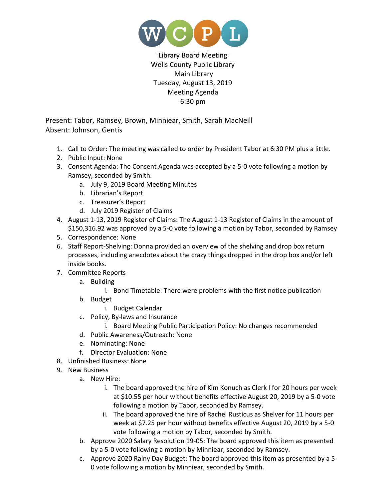

Library Board Meeting Wells County Public Library Main Library Tuesday, August 13, 2019 Meeting Agenda 6:30 pm

Present: Tabor, Ramsey, Brown, Minniear, Smith, Sarah MacNeill Absent: Johnson, Gentis

- 1. Call to Order: The meeting was called to order by President Tabor at 6:30 PM plus a little.
- 2. Public Input: None
- 3. Consent Agenda: The Consent Agenda was accepted by a 5-0 vote following a motion by Ramsey, seconded by Smith.
	- a. July 9, 2019 Board Meeting Minutes
	- b. Librarian's Report
	- c. Treasurer's Report
	- d. July 2019 Register of Claims
- 4. August 1-13, 2019 Register of Claims: The August 1-13 Register of Claims in the amount of \$150,316.92 was approved by a 5-0 vote following a motion by Tabor, seconded by Ramsey
- 5. Correspondence: None
- 6. Staff Report-Shelving: Donna provided an overview of the shelving and drop box return processes, including anecdotes about the crazy things dropped in the drop box and/or left inside books.
- 7. Committee Reports
	- a. Building
		- i. Bond Timetable: There were problems with the first notice publication
	- b. Budget
		- i. Budget Calendar
	- c. Policy, By-laws and Insurance
		- i. Board Meeting Public Participation Policy: No changes recommended
	- d. Public Awareness/Outreach: None
	- e. Nominating: None
	- f. Director Evaluation: None
- 8. Unfinished Business: None
- 9. New Business
	- a. New Hire:
		- i. The board approved the hire of Kim Konuch as Clerk I for 20 hours per week at \$10.55 per hour without benefits effective August 20, 2019 by a 5-0 vote following a motion by Tabor, seconded by Ramsey.
		- ii. The board approved the hire of Rachel Rusticus as Shelver for 11 hours per week at \$7.25 per hour without benefits effective August 20, 2019 by a 5-0 vote following a motion by Tabor, seconded by Smith.
	- b. Approve 2020 Salary Resolution 19-05: The board approved this item as presented by a 5-0 vote following a motion by Minniear, seconded by Ramsey.
	- c. Approve 2020 Rainy Day Budget: The board approved this item as presented by a 5- 0 vote following a motion by Minniear, seconded by Smith.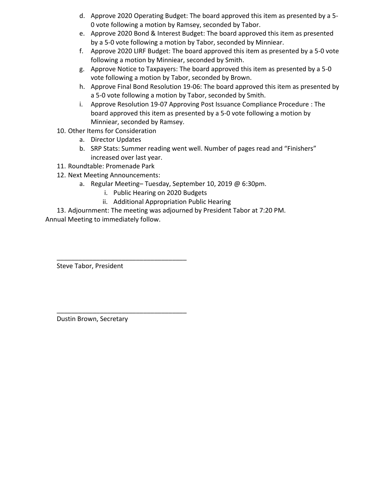- d. Approve 2020 Operating Budget: The board approved this item as presented by a 5- 0 vote following a motion by Ramsey, seconded by Tabor.
- e. Approve 2020 Bond & Interest Budget: The board approved this item as presented by a 5-0 vote following a motion by Tabor, seconded by Minniear.
- f. Approve 2020 LIRF Budget: The board approved this item as presented by a 5-0 vote following a motion by Minniear, seconded by Smith.
- g. Approve Notice to Taxpayers: The board approved this item as presented by a 5-0 vote following a motion by Tabor, seconded by Brown.
- h. Approve Final Bond Resolution 19-06: The board approved this item as presented by a 5-0 vote following a motion by Tabor, seconded by Smith.
- i. Approve Resolution 19-07 Approving Post Issuance Compliance Procedure : The board approved this item as presented by a 5-0 vote following a motion by Minniear, seconded by Ramsey.
- 10. Other Items for Consideration
	- a. Director Updates
	- b. SRP Stats: Summer reading went well. Number of pages read and "Finishers" increased over last year.
- 11. Roundtable: Promenade Park
- 12. Next Meeting Announcements:

\_\_\_\_\_\_\_\_\_\_\_\_\_\_\_\_\_\_\_\_\_\_\_\_\_\_\_\_\_\_\_\_\_\_\_\_

\_\_\_\_\_\_\_\_\_\_\_\_\_\_\_\_\_\_\_\_\_\_\_\_\_\_\_\_\_\_\_\_\_\_\_\_

- a. Regular Meeting– Tuesday, September 10, 2019 @ 6:30pm.
	- i. Public Hearing on 2020 Budgets
	- ii. Additional Appropriation Public Hearing

13. Adjournment: The meeting was adjourned by President Tabor at 7:20 PM. Annual Meeting to immediately follow.

Steve Tabor, President

Dustin Brown, Secretary